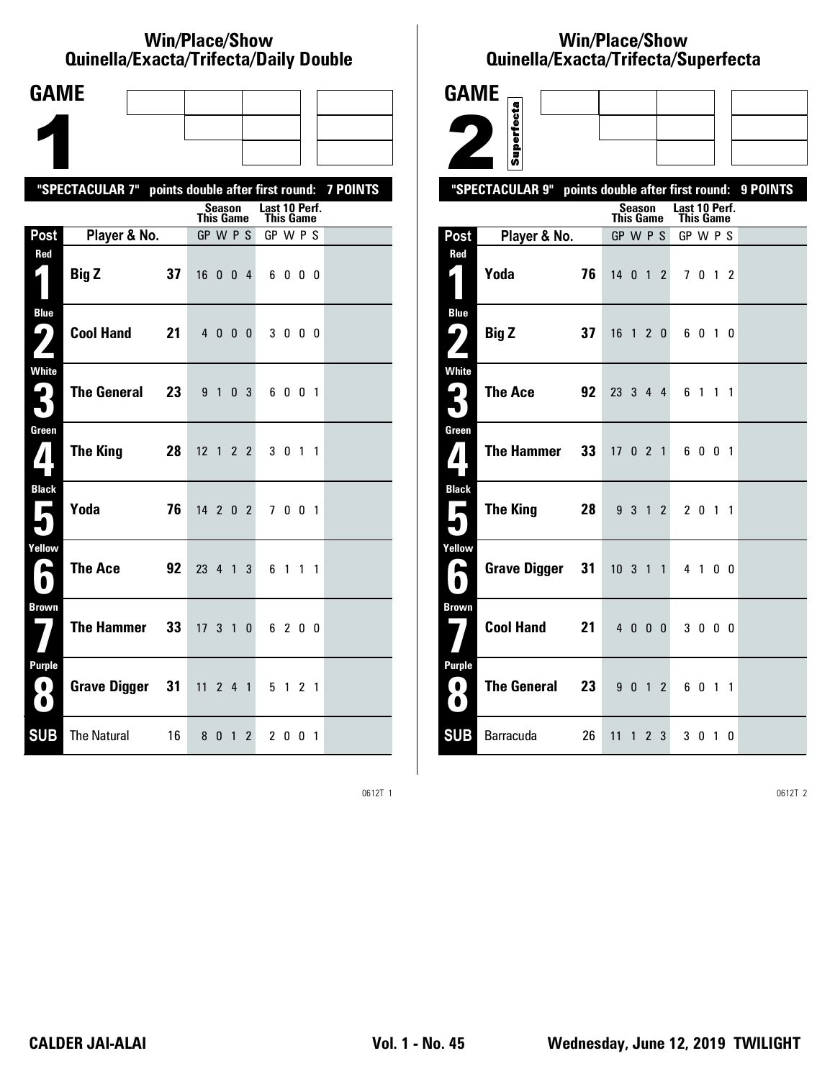### **Win/Place/Show Quinella/Exacta/Trifecta/Daily Double**

| <b>GAME</b>                                   |                                                           |                              |                                   |  |
|-----------------------------------------------|-----------------------------------------------------------|------------------------------|-----------------------------------|--|
|                                               |                                                           |                              |                                   |  |
|                                               |                                                           |                              |                                   |  |
|                                               | "SPECTACULAR 7" points double after first round: 7 POINTS |                              |                                   |  |
|                                               |                                                           | Season<br><b>This Game</b>   | Last 10 Perf.<br><b>This Game</b> |  |
| Post                                          | Player & No.                                              | GP W P S                     | GP W P S                          |  |
| Red                                           | 37<br><b>Big Z</b>                                        | 16 0 0 4                     | 6000                              |  |
| <b>Blue</b><br>7<br>Z                         | <b>Cool Hand</b><br>21                                    | 4000                         | 3000                              |  |
| <b>White</b><br>3                             | <b>The General</b><br>23                                  | 9 1 0 3                      | 6001                              |  |
| Green<br>$\mathbf{Z}$                         | <b>The King</b><br>28                                     | 12 1 2 2                     | 3 0 1 1                           |  |
| <b>Black</b><br>$\overline{\phantom{a}}$      | Yoda<br>76                                                | 14 2 0 2                     | 7 0 0 1                           |  |
| Yellow<br>$\blacktriangleright$               | <b>The Ace</b><br>92                                      | 23 4 1<br>3                  | 6 1 1 1                           |  |
| <b>Brown</b>                                  | <b>The Hammer</b><br>33                                   | $17 \t3 \t1$<br>$\mathbf{0}$ | 6 2 0 0                           |  |
| <b>Purple</b><br>$\bf O$<br>$\mathbf{\Omega}$ | <b>Grave Digger</b><br>31                                 | $11 \t2 \t4 \t1$             | 5 1 2 1                           |  |
| <b>SUB</b>                                    | <b>The Natural</b><br>16.                                 | 801<br>$\mathbf{2}^{\prime}$ | 2001                              |  |

## **Win/Place/Show Qui nel la/Exacta/Tri fecta/Super fecta**



0612T 1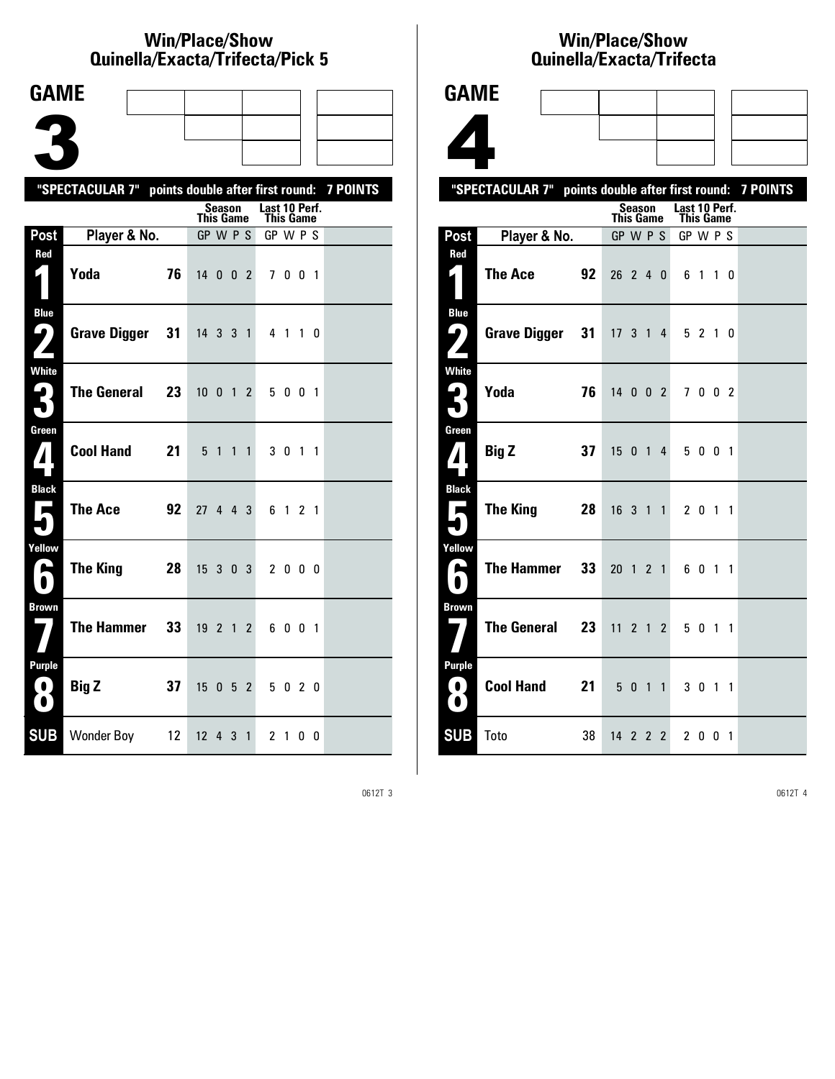### **Win/Place/Show Qui nel la/Exacta/Tri fecta/Pick 5**

| <b>GAME</b>                          |                                                           |    |                              |                |           |                       |         |                |  |
|--------------------------------------|-----------------------------------------------------------|----|------------------------------|----------------|-----------|-----------------------|---------|----------------|--|
|                                      |                                                           |    |                              |                |           |                       |         |                |  |
|                                      |                                                           |    |                              |                |           |                       |         |                |  |
|                                      |                                                           |    |                              |                |           |                       |         |                |  |
|                                      | "SPECTACULAR 7" points double after first round: 7 POINTS |    |                              | <b>Season</b>  |           | Last 10 Perf.         |         |                |  |
| Post                                 | Player & No.                                              |    | <b>This Game</b><br>GP W P S |                |           | This Game<br>GP W P S |         |                |  |
| Red                                  |                                                           |    |                              |                |           |                       |         |                |  |
| 1                                    | Yoda                                                      | 76 | 14 0 0 2                     |                |           |                       | 7001    |                |  |
| <b>Blue</b><br>5<br>$\mathbf{z}$     | <b>Grave Digger</b>                                       | 31 | 14 3 3 1                     |                |           |                       | 4 1 1 0 |                |  |
| <b>White</b><br>Ę.<br>$\blacksquare$ | <b>The General</b>                                        | 23 | $10 \t0 \t1 \t2$             |                |           |                       | 5 0 0 1 |                |  |
| Green<br>$\bf{1}$                    | <b>Cool Hand</b>                                          | 21 | 5                            | $\overline{1}$ | $1\quad1$ |                       | 301     | $\overline{1}$ |  |
| <b>Black</b><br>$\mathbf{r}$         | <b>The Ace</b>                                            | 92 | 27 4 4 3                     |                |           |                       | 6 1 2 1 |                |  |
| Yellow<br>فنا                        | <b>The King</b>                                           | 28 | $15 \t3 \t0 \t3$             |                |           |                       | 2000    |                |  |
| <b>Brown</b>                         | <b>The Hammer</b>                                         | 33 | $19$ 2 1 2                   |                |           |                       | 6001    |                |  |
| Purple<br>0<br>0                     | <b>Big Z</b>                                              | 37 | 15                           | 052            |           |                       | 5 0 2 0 |                |  |
| <b>SUB</b>                           | Wonder Boy 12                                             |    | $12$ 4 3 1                   |                |           |                       | 2 1 0 0 |                |  |

## **Win/Place/Show Qui nel la/Exacta/Tri fecta**



|                                            | "SPECTACULAR 7" points double after first round: 7 POINTS |    |                  |               |  |                                   |         |             |  |
|--------------------------------------------|-----------------------------------------------------------|----|------------------|---------------|--|-----------------------------------|---------|-------------|--|
|                                            |                                                           |    | <b>This Game</b> | <b>Season</b> |  | Last 10 Perf.<br><b>This Game</b> |         |             |  |
| Post                                       | Player & No.                                              |    | GP W P S         |               |  | GP W P S                          |         |             |  |
| Red<br>4                                   | <b>The Ace</b>                                            | 92 | $26$ 2 4 0       |               |  |                                   | 6 1 1 0 |             |  |
| <b>Blue</b><br>$\boldsymbol{\varphi}$<br>Z | Grave Digger 31 17 3 1 4                                  |    |                  |               |  |                                   | 5 2 1 0 |             |  |
| <b>White</b><br>3                          | Yoda                                                      | 76 | $14$ 0 0 2       |               |  |                                   | 7 0 0 2 |             |  |
| Green<br>$\boldsymbol{A}$                  | <b>Big Z</b>                                              | 37 | 15 0 1 4         |               |  |                                   | 5 0 0 1 |             |  |
| <b>Black</b><br>$\overline{\phantom{a}}$   | The King                                                  | 28 | 16311            |               |  |                                   | 2 0 1 1 |             |  |
| Yellow<br>E<br>$\blacksquare$              | <b>The Hammer</b>                                         | 33 | $20 \t1 \t2 \t1$ |               |  |                                   | 6 0 1 1 |             |  |
| <b>Brown</b>                               | The General 23                                            |    | $11$ 2 1 2       |               |  |                                   | 5 0 1 1 |             |  |
| <b>Purple</b><br>$\blacksquare$<br>0       | Cool Hand 21                                              |    |                  | 5011          |  |                                   | 3 0 1 1 |             |  |
| <b>SUB</b>                                 | Toto                                                      | 38 | 14 2 2 2         |               |  | $\mathbf{2}$                      |         | $0 \t0 \t1$ |  |

0612T 3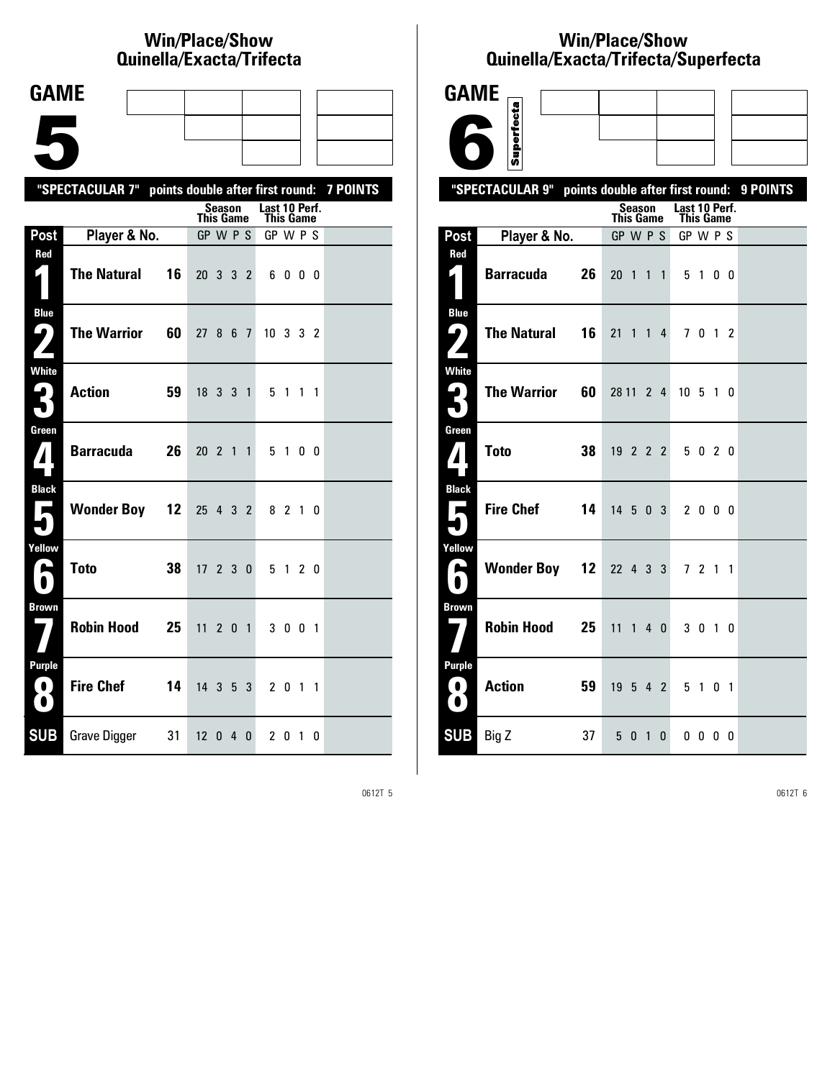# **Win/Place/Show Qui nel la/Exacta/Tri fecta**

| <b>GAME</b>                                |                                                           |     |                            |                            |                |           |  |
|--------------------------------------------|-----------------------------------------------------------|-----|----------------------------|----------------------------|----------------|-----------|--|
|                                            |                                                           |     |                            |                            |                |           |  |
|                                            |                                                           |     |                            |                            |                |           |  |
|                                            | "SPECTACULAR 7" points double after first round: 7 POINTS |     |                            |                            |                |           |  |
|                                            |                                                           |     | Season<br><b>This Game</b> | Last 10 Perf.<br>This Game |                |           |  |
| Post                                       | Player & No.                                              |     | GP W P S                   | GP W P S                   |                |           |  |
| Red<br>4                                   | <b>The Natural</b>                                        | 16  | 20 3 3 2                   | 6000                       |                |           |  |
| <b>Blue</b><br>$\boldsymbol{\varphi}$<br>Z | <b>The Warrior</b>                                        | 60  | 27 8 6 7                   | $10 \t3 \t3 \t2$           |                |           |  |
| White<br>3                                 | <b>Action</b>                                             | 59  | 18 3 3 1                   | 5 1                        |                | $1\quad1$ |  |
| Green<br>$\bf{7}$                          | <b>Barracuda</b>                                          | 26  | 20 2 1 1                   | 5 1 0 0                    |                |           |  |
| <b>Black</b><br>$\overline{\phantom{a}}$   | <b>Wonder Boy 12</b>                                      |     | 25 4 3 2                   | 8 2 1 0                    |                |           |  |
| Yellow<br>⊫                                | <b>Toto</b>                                               | 38  | $17$ 2 3 0                 | 5 1 2 0                    |                |           |  |
| <b>Brown</b>                               | <b>Robin Hood</b>                                         | 25  | 11<br>2 0 1                | 3 0 0 1                    |                |           |  |
| <b>Purple</b><br>O<br>O                    | <b>Fire Chef</b>                                          | 14  | 14 3 5 3                   | 2 0 1 1                    |                |           |  |
| <b>SUB</b>                                 | Grave Digger                                              | -31 | 12 <sup>2</sup><br>040     | 20                         | $\overline{1}$ | 0         |  |

## **Win/Place/Show Qui nel la/Exacta/Tri fecta/Super fecta**



0612T 5